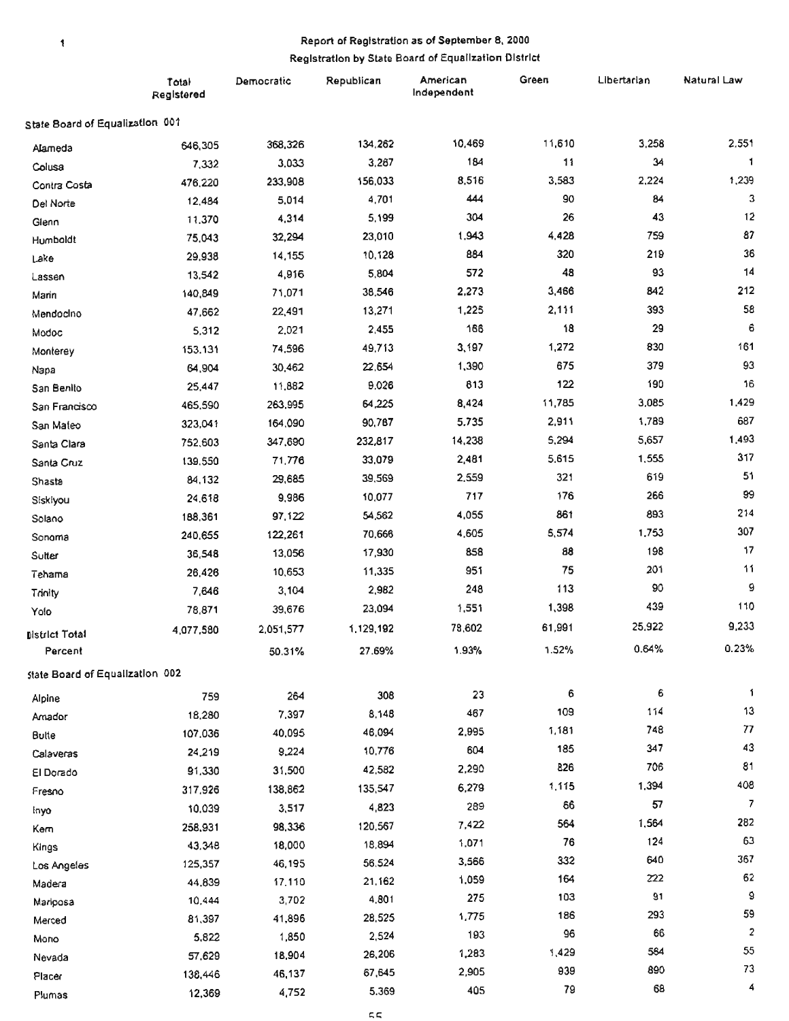### Report of Registration as of September 8, 2000

 $\pmb{\mathcal{R}}$ 

### Registration by State Board of Equalization District

|                                  | Total<br>Registered | Democratic | Republican | American<br>Independent | Green  | Libertarian | <b>Natural Law</b>      |
|----------------------------------|---------------------|------------|------------|-------------------------|--------|-------------|-------------------------|
| State Board of Equalization 001  |                     |            |            |                         |        |             |                         |
| Alameda                          | 646,305             | 368,326    | 134,262    | 10,469                  | 11,610 | 3,258       | 2,551                   |
| Colusa                           | 7,332               | 3,033      | 3,267      | 184                     | 11     | 34          |                         |
| Contra Costa                     | 476,220             | 233,908    | 156,033    | 8,516                   | 3,583  | 2,224       | 1,239                   |
| Del Norte                        | 12,484              | 5,014      | 4,701      | 444                     | 90     | 84          | 3                       |
| Glenn                            | 11,370              | 4,314      | 5,199      | 304                     | 26     | 43          | 12                      |
| Humboldt                         | 75,043              | 32,294     | 23,010     | 1,943                   | 4,428  | 759         | 87                      |
| Lake                             | 29,938              | 14,155     | 10,128     | 884                     | 320    | 219         | 36                      |
| Lassen                           | 13,542              | 4,916      | 5,804      | 572                     | 48     | 93          | 14                      |
| Marin                            | 140,849             | 71,071     | 38,546     | 2,273                   | 3,466  | 842         | 212                     |
| Mendocino                        | 47,662              | 22,491     | 13,271     | 1,225                   | 2,111  | 393         | 58                      |
| Modoc                            | 5,312               | 2,021      | 2,455      | 166                     | 18     | 29          | 6                       |
| Monterey                         | 153,131             | 74,596     | 49,713     | 3,197                   | 1,272  | 830         | 161                     |
| Napa                             | 64,904              | 30,462     | 22,654     | 1,390                   | 675    | 379         | 93                      |
| San Benito                       | 25,447              | 11,882     | 9,026      | 813                     | 122    | 190         | 16                      |
| San Francisco                    | 465,590             | 263,995    | 64,225     | 8,424                   | 11,785 | 3,085       | 1,429                   |
| San Mateo                        | 323,041             | 164,090    | 90,787     | 5.735                   | 2,911  | 1,789       | 687                     |
| Santa Clara                      | 752,603             | 347,690    | 232,817    | 14,238                  | 5,294  | 5,657       | 1,493                   |
| Santa Cruz                       | 139,550             | 71,776     | 33,079     | 2,481                   | 5,615  | 1,555       | 317                     |
| Shasta                           | 84,132              | 29,685     | 39,569     | 2,559                   | 321    | 619         | 51                      |
| Siskiyou                         | 24,618              | 9,986      | 10,077     | 717                     | 176    | 266         | 99                      |
| Solano                           | 188,361             | 97,122     | 54,562     | 4,055                   | 861    | 893         | 214                     |
| Sonoma                           | 240,655             | 122,261    | 70,666     | 4,605                   | 5,574  | 1,753       | 307                     |
| Sutter                           | 36,548              | 13,056     | 17,930     | 858                     | 88     | 198         | 17                      |
| Tehama                           | 26,426              | 10,653     | 11,335     | 951                     | 75     | 201         | 11                      |
| Trinity                          | 7,646               | 3,104      | 2,982      | 248                     | 113    | 90          | 9                       |
| Yolo                             | 78,871              | 39,676     | 23,094     | 1,551                   | 1,398  | 439         | 110                     |
|                                  | 4.077.580           | 2,051,577  | 1,129,192  | 78,602                  | 61,991 | 25,922      | 9,233                   |
| <b>District Total</b><br>Percent |                     | 50.31%     | 27.69%     | 1.93%                   | 1.52%  | 0.64%       | 0.23%                   |
| state Board of Equalization 002  |                     |            |            |                         |        |             |                         |
|                                  | 759                 | 264        | 308        | 23                      | 6      | 6           | 1                       |
| Alpine                           | 18,280              | 7,397      | 8,148      | 467                     | 109    | 114         | 13                      |
| Amador                           | 107,036             | 40,095     | 46,094     | 2,995                   | 1,181  | 748         | $77\,$                  |
| Bulte                            | 24,219              | 9,224      | 10,776     | 604                     | 185    | 347         | 43                      |
| Calaveras                        | 91,330              | 31,500     | 42,582     | 2,290                   | 826    | 706         | 81                      |
| El Dorado                        | 317,926             | 138,862    | 135,547    | 6,279                   | 1,115  | 1,394       | 408                     |
| Fresno                           | 10.039              | 3,517      | 4,823      | 289                     | 66     | 57          | $\overline{7}$          |
| inyo                             |                     | 98,336     | 120,567    | 7,422                   | 564    | 1,564       | 282                     |
| Kem                              | 258,931<br>43,348   | 18,000     | 18,894     | 1,071                   | 76     | 124         | 63                      |
| Kings                            |                     | 46,195     | 56,524     | 3,566                   | 332    | 640         | 367                     |
| Los Angeles                      | 125,357<br>44,839   | 17.110     | 21,162     | 1,059                   | 164    | 222         | 62                      |
| Madera                           |                     | 3,702      | 4,801      | 275                     | 103    | 91          | 9                       |
| Mariposa                         | 10,444<br>81,397    | 41,896     | 28,525     | 1,775                   | 186    | 293         | 59                      |
| Merced                           | 5,822               | 1,850      | 2,524      | 193                     | 96     | 66          | $\overline{\mathbf{c}}$ |
| Mono                             | 57,629              | 18,904     | 26,206     | 1,283                   | 1,429  | 564         | 55                      |
| Nevada                           | 138,446             | 46,137     | 67,645     | 2,905                   | 939    | 890         | 73                      |
| Placer                           |                     | 4,752      | 5.369      | 405                     | 79     | 68          | 4                       |
| Plumas                           | 12,369              |            |            |                         |        |             |                         |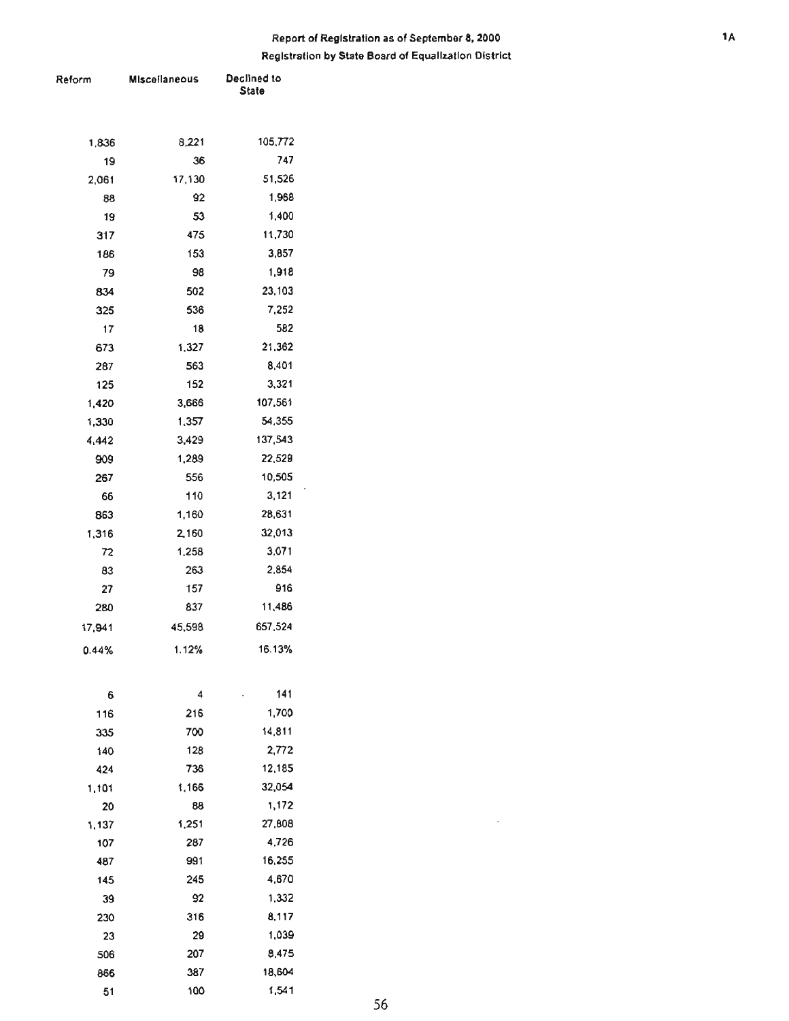## **Report of Registration 15 of September 8, 2000 Registration by State Board of Equalization District**

| Reform | <b>Miscellaneous</b> | Declined to<br>State |  |  |
|--------|----------------------|----------------------|--|--|
|        |                      |                      |  |  |
|        |                      |                      |  |  |
| 1,836  | 8,221                | 105,772              |  |  |
| 19     | 36                   | 747                  |  |  |
| 2,061  | 17,130               | 51,526               |  |  |
| 88     | 92                   | 1,968                |  |  |
| 19     | 53                   | 1,400                |  |  |
| 317    | 475                  | 11,730               |  |  |
| 186    | 153                  | 3,857                |  |  |
| 79     | 98                   | 1,918                |  |  |
| 834    | 502                  | 23,103               |  |  |
| 325    | 536                  | 7,252                |  |  |
| 17     | 18                   | 582                  |  |  |
| 673    | 1,327                | 21,362               |  |  |
| 287    | 563                  | 8,401                |  |  |
| 125    | 152                  | 3,321                |  |  |
| 1,420  | 3,666                | 107,561              |  |  |
| 1,330  | 1,357                | 54,355               |  |  |
| 4,442  | 3,429                | 137,543              |  |  |
| 909    | 1,289                | 22,529               |  |  |
| 267    | 556                  | 10,505               |  |  |
| 66     | 110                  | 3,121                |  |  |
| 863    | 1,160                | 28,631               |  |  |
| 1,316  | 2,160                | 32,013               |  |  |
| 72     | 1,258                | 3,071                |  |  |
| 83     | 263                  | 2,854                |  |  |
| 27     | 157                  | 916                  |  |  |
| 280    | 837                  | 11,486               |  |  |
| 17,941 | 45,598               | 657,524              |  |  |
| 0.44%  | 1.12%                | 16.13%               |  |  |
| 6      | 4                    | 141                  |  |  |
| 116    | 216                  | 1,700                |  |  |
| 335    | 700                  | 14,811               |  |  |
| 140    | 128                  | 2,772                |  |  |
| 424    | 736                  | 12,185               |  |  |
| 1,101  | 1,166                | 32,054               |  |  |
| 20     | 88                   | 1,172                |  |  |
| 1,137  | 1,251                | 27,808               |  |  |
| 107    | 287                  | 4,726                |  |  |
| 487    | 991                  | 16,255               |  |  |
| 145    | 245                  | 4,670                |  |  |
| 39     | 92                   | 1,332                |  |  |
| 230    | 316                  | 8,117                |  |  |
| 23     | 29                   | 1,039                |  |  |
| 506    | 207                  | 8,475                |  |  |
| 866    | 387                  | 18,604               |  |  |
| 51     | 100                  | 1,541                |  |  |

 $\bar{z}$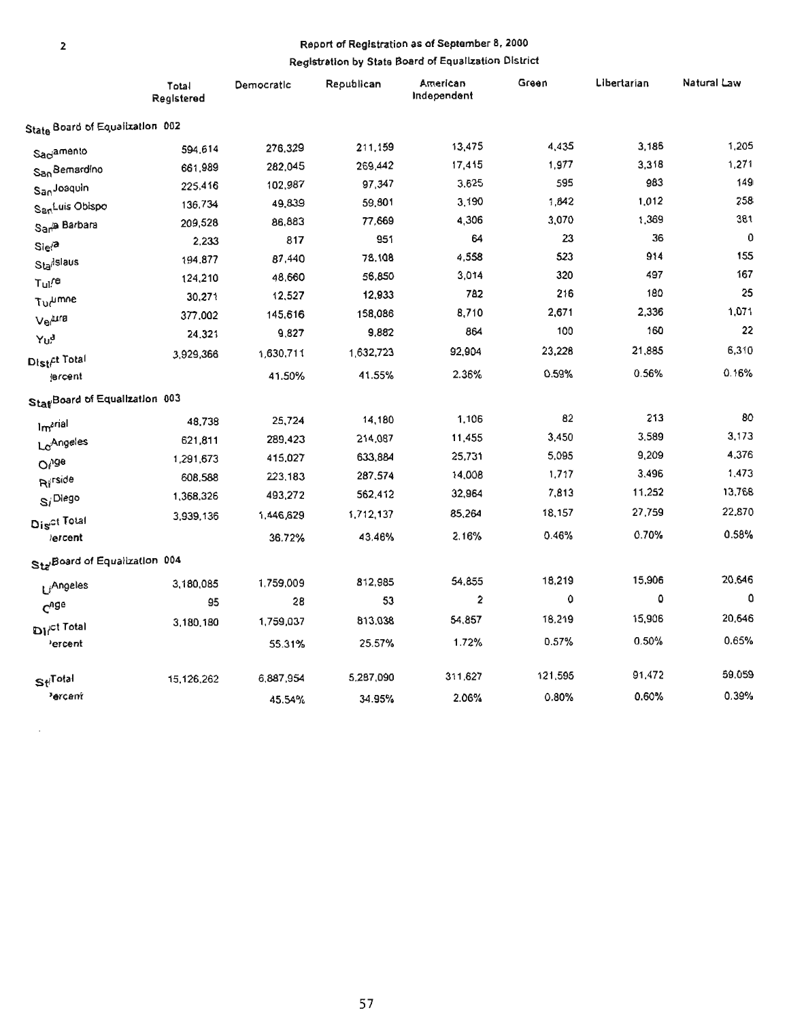# Report of Registration as of September 8, 2000

# Registration by State Board of Equalization District

|                                 | Total<br>Registered | Democratic | Republican | American<br>Independent | Green   | Libertarian | Natural Law |
|---------------------------------|---------------------|------------|------------|-------------------------|---------|-------------|-------------|
| State Board of Equalization 002 |                     |            |            |                         |         |             |             |
| Saciamento                      | 594,614             | 276,329    | 211,159    | 13,475                  | 4,435   | 3,186       | 1,205       |
| San Bemardino                   | 661,989             | 282,045    | 269,442    | 17,415                  | 1,977   | 3,318       | 1,271       |
| SanJoaquin                      | 225,416             | 102,987    | 97,347     | 3.625                   | 595     | 983         | 149         |
| San <sup>Luis</sup> Oblspo      | 136,734             | 49,839     | 59,801     | 3,190                   | 1,842   | 1,012       | 258         |
| San <sup>ta</sup> Barbara       | 209,528             | 86,883     | 77,669     | 4,306                   | 3,070   | 1,369       | 381         |
| $Sle^{2}$                       | 2,233               | 817        | 951        | 64                      | 23      | 36          | 0           |
| Sta <sup>dslaus</sup>           | 194,877             | 87,440     | 78,108     | 4,558                   | 523     | 914         | 155         |
| Tul <sup>re</sup>               | 124,210             | 48,660     | 56,850     | 3,014                   | 320     | 497         | 167         |
| <b>Tur<sup>umne</sup></b>       | 30,271              | 12,527     | 12,933     | <b>782</b>              | 216     | 180         | 25          |
| <b>Ve</b> tura                  | 377,002             | 145,616    | 158,086    | 8,710                   | 2,671   | 2,336       | 1,071       |
| Yu <sup>d</sup>                 | 24.321              | 9,827      | 9,882      | 864                     | 100     | 160         | 22          |
| Distr <sup>et</sup> Total       | 3,929,366           | 1,630,711  | 1,632,723  | 92,904                  | 23,228  | 21,885      | 6,310       |
| jercent                         |                     | 41.50%     | 41.55%     | 2.36%                   | 0.59%   | 0.56%       | 0.16%       |
| Stat Board of Equalization 003  |                     |            |            |                         |         |             |             |
| Imarial                         | 48,738              | 25,724     | 14,180     | 1,106                   | 82      | 213         | 80          |
| Lo <sup>Angeles</sup>           | 621,811             | 289,423    | 214,087    | 11,455                  | 3,450   | 3,589       | 3,173       |
| O <sub>vde</sub>                | 1,291,673           | 415,027    | 633,884    | 25,731                  | 5,095   | 9,209       | 4,376       |
| Rirside                         | 608,588             | 223,183    | 287,574    | 14,008                  | 1,717   | 3,496       | 1,473       |
| $S_i^{\text{Dlego}}$            | 1,368,326           | 493,272    | 562,412    | 32,964                  | 7,813   | 11,252      | 13,768      |
| Dis <sup>ct Total</sup>         | 3,939,136           | 1,446,629  | 1,712,137  | 85,264                  | 18,157  | 27,759      | 22,870      |
| lercent                         |                     | 36.72%     | 43,46%     | 2.16%                   | 0.46%   | 0.70%       | 0.58%       |
| Sta Board of Equalization 004   |                     |            |            |                         |         |             |             |
| LiAngeles                       | 3,180,085           | 1,759,009  | 812,985    | 54,855                  | 18,219  | 15,906      | 20,646      |
| $C^{0}$ ge                      | 95                  | 28         | 53         | $\mathbf{z}$            | 0       | ٥           | 0           |
| <b>Dirct Total</b>              | 3,180,180           | 1,759,037  | 813,038    | 54,857                  | 18,219  | 15,906      | 20,646      |
| ercent                          |                     | 55.31%     | 25.57%     | 1.72%                   | 0.57%   | 0.50%       | 0.65%       |
| Sti <sup>Total</sup>            | 15,126,262          | 6,887,954  | 5,287,090  | 311,627                 | 121,595 | 91,472      | 59,059      |
| <sup>3</sup> ercant             |                     | 45.54%     | 34.95%     | 2.06%                   | 0.80%   | 0.60%       | 0.39%       |

 $\boldsymbol{\cdot}$